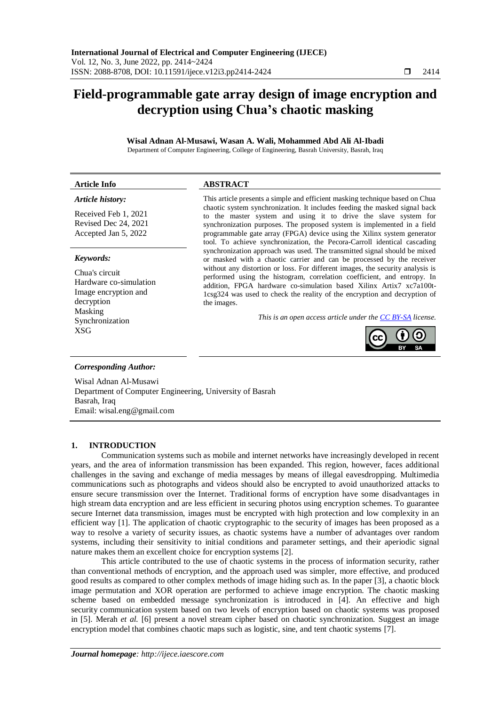# **Field-programmable gate array design of image encryption and decryption using Chua's chaotic masking**

# **Wisal Adnan Al-Musawi, Wasan A. Wali, Mohammed Abd Ali Al-Ibadi**

Department of Computer Engineering, College of Engineering, Basrah University, Basrah, Iraq

| <b>Article Info</b>                                                                      | <b>ABSTRACT</b>                                                                                                                                                                                                                                                                                                                                                                                                                                                 |  |  |  |  |
|------------------------------------------------------------------------------------------|-----------------------------------------------------------------------------------------------------------------------------------------------------------------------------------------------------------------------------------------------------------------------------------------------------------------------------------------------------------------------------------------------------------------------------------------------------------------|--|--|--|--|
| Article history:<br>Received Feb 1, 2021<br>Revised Dec 24, 2021<br>Accepted Jan 5, 2022 | This article presents a simple and efficient masking technique based on Chua<br>chaotic system synchronization. It includes feeding the masked signal back<br>to the master system and using it to drive the slave system for<br>synchronization purposes. The proposed system is implemented in a field<br>programmable gate array (FPGA) device using the Xilinx system generator<br>tool. To achieve synchronization, the Pecora-Carroll identical cascading |  |  |  |  |
| Keywords:                                                                                | synchronization approach was used. The transmitted signal should be mixed<br>or masked with a chaotic carrier and can be processed by the receiver                                                                                                                                                                                                                                                                                                              |  |  |  |  |
| Chua's circuit<br>Hardware co-simulation<br>Image encryption and<br>decryption           | without any distortion or loss. For different images, the security analysis is<br>performed using the histogram, correlation coefficient, and entropy. In<br>addition, FPGA hardware co-simulation based Xilinx Artix7 xc7a100t-<br>1csg324 was used to check the reality of the encryption and decryption of<br>the images.                                                                                                                                    |  |  |  |  |
| Masking<br>Synchronization<br><b>XSG</b>                                                 | This is an open access article under the CC BY-SA license.                                                                                                                                                                                                                                                                                                                                                                                                      |  |  |  |  |
| <b>Corresponding Author:</b>                                                             |                                                                                                                                                                                                                                                                                                                                                                                                                                                                 |  |  |  |  |
| Wisal Adnan Al-Musawi<br>Department of Computer Engineering, University of Basrah        |                                                                                                                                                                                                                                                                                                                                                                                                                                                                 |  |  |  |  |

# **1. INTRODUCTION**

Email: wisal.eng@gmail.com

Basrah, Iraq

Communication systems such as mobile and internet networks have increasingly developed in recent years, and the area of information transmission has been expanded. This region, however, faces additional challenges in the saving and exchange of media messages by means of illegal eavesdropping. Multimedia communications such as photographs and videos should also be encrypted to avoid unauthorized attacks to ensure secure transmission over the Internet. Traditional forms of encryption have some disadvantages in high stream data encryption and are less efficient in securing photos using encryption schemes. To guarantee secure Internet data transmission, images must be encrypted with high protection and low complexity in an efficient way [1]. The application of chaotic cryptographic to the security of images has been proposed as a way to resolve a variety of security issues, as chaotic systems have a number of advantages over random systems, including their sensitivity to initial conditions and parameter settings, and their aperiodic signal nature makes them an excellent choice for encryption systems [2].

This article contributed to the use of chaotic systems in the process of information security, rather than conventional methods of encryption, and the approach used was simpler, more effective, and produced good results as compared to other complex methods of image hiding such as. In the paper [3], a chaotic block image permutation and XOR operation are performed to achieve image encryption. The chaotic masking scheme based on embedded message synchronization is introduced in [4]. An effective and high security communication system based on two levels of encryption based on chaotic systems was proposed in [5]. Merah *et al.* [6] present a novel stream cipher based on chaotic synchronization. Suggest an image encryption model that combines chaotic maps such as logistic, sine, and tent chaotic systems [7].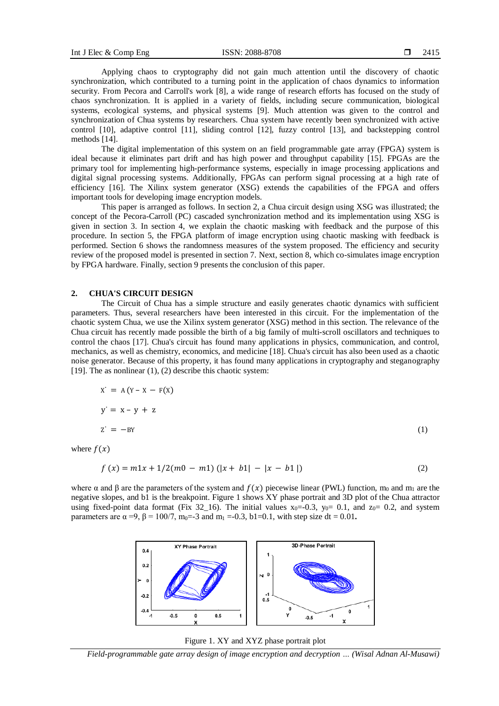Applying chaos to cryptography did not gain much attention until the discovery of chaotic synchronization, which contributed to a turning point in the application of chaos dynamics to information security. From Pecora and Carroll's work [8], a wide range of research efforts has focused on the study of chaos synchronization. It is applied in a variety of fields, including secure communication, biological systems, ecological systems, and physical systems [9]. Much attention was given to the control and synchronization of Chua systems by researchers. Chua system have recently been synchronized with active control [10], adaptive control [11], sliding control [12], fuzzy control [13], and backstepping control methods [14].

The digital implementation of this system on an field programmable gate array (FPGA) system is ideal because it eliminates part drift and has high power and throughput capability [15]. FPGAs are the primary tool for implementing high-performance systems, especially in image processing applications and digital signal processing systems. Additionally, FPGAs can perform signal processing at a high rate of efficiency [16]. The Xilinx system generator (XSG) extends the capabilities of the FPGA and offers important tools for developing image encryption models.

This paper is arranged as follows. In section 2, a Chua circuit design using XSG was illustrated; the concept of the Pecora-Carroll (PC) cascaded synchronization method and its implementation using XSG is given in section 3. In section 4, we explain the chaotic masking with feedback and the purpose of this procedure. In section 5, the FPGA platform of image encryption using chaotic masking with feedback is performed. Section 6 shows the randomness measures of the system proposed. The efficiency and security review of the proposed model is presented in section 7. Next, section 8, which co-simulates image encryption by FPGA hardware. Finally, section 9 presents the conclusion of this paper.

#### **2. CHUA'S CIRCUIT DESIGN**

The Circuit of Chua has a simple structure and easily generates chaotic dynamics with sufficient parameters. Thus, several researchers have been interested in this circuit. For the implementation of the chaotic system Chua, we use the Xilinx system generator (XSG) method in this section. The relevance of the Chua circuit has recently made possible the birth of a big family of multi-scroll oscillators and techniques to control the chaos [17]. Chua's circuit has found many applications in physics, communication, and control, mechanics, as well as chemistry, economics, and medicine [18]. Chua's circuit has also been used as a chaotic noise generator. Because of this property, it has found many applications in cryptography and steganography [19]. The as nonlinear  $(1)$ ,  $(2)$  describe this chaotic system:

$$
x' = A(Y - X - F(X))
$$
  
\n
$$
y' = x - y + z
$$
  
\n
$$
z' = -BY
$$
 (1)

where  $f(x)$ 

$$
f(x) = m1x + 1/2(m0 - m1) (|x + b1| - |x - b1|)
$$
\n(2)

where  $\alpha$  and  $\beta$  are the parameters of the system and  $f(x)$  piecewise linear (PWL) function, m<sub>0</sub> and m<sub>1</sub> are the negative slopes, and b1 is the breakpoint. Figure 1 shows XY phase portrait and 3D plot of the Chua attractor using fixed-point data format (Fix  $32\_16$ ). The initial values  $x_0 = -0.3$ ,  $y_0 = 0.1$ , and  $z_0 = 0.2$ , and system parameters are  $\alpha = 9$ ,  $\beta = 100/7$ , m<sub>0</sub>=-3 and m<sub>1</sub> =-0.3, b1=0.1, with step size dt = 0.01.



Figure 1. XY and XYZ phase portrait plot

*Field-programmable gate array design of image encryption and decryption … (Wisal Adnan Al-Musawi)*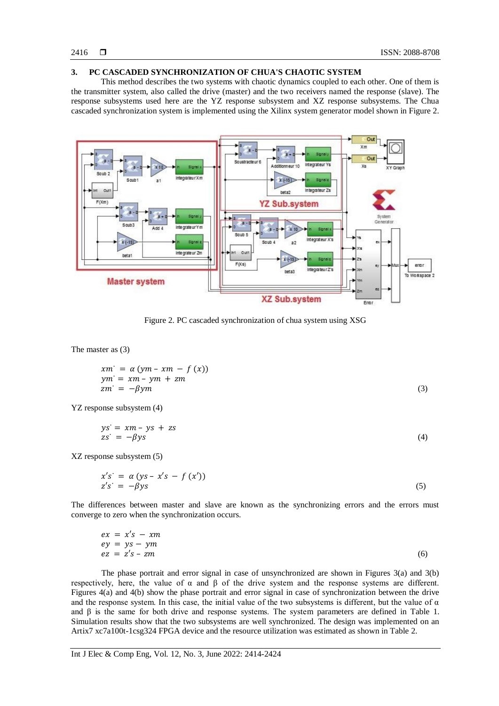#### **3. PC CASCADED SYNCHRONIZATION OF CHUA'S CHAOTIC SYSTEM**

This method describes the two systems with chaotic dynamics coupled to each other. One of them is the transmitter system, also called the drive (master) and the two receivers named the response (slave). The response subsystems used here are the YZ response subsystem and XZ response subsystems. The Chua cascaded synchronization system is implemented using the Xilinx system generator model shown in Figure 2.



Figure 2. PC cascaded synchronization of chua system using XSG

The master as (3)

$$
xm' = \alpha (ym - xm - f(x))
$$
  
\n
$$
ym' = xm - ym + zm
$$
  
\n
$$
zm' = -\beta ym
$$
\n(3)

YZ response subsystem (4)

$$
ys' = xm - ys + zszs' = -\beta ys
$$
 (4)

XZ response subsystem (5)

$$
x's' = \alpha (ys - x's - f(x'))
$$
  
\n
$$
z's' = -\beta ys
$$
\n(5)

The differences between master and slave are known as the synchronizing errors and the errors must converge to zero when the synchronization occurs.

|  | $ex = x's - xm$ |     |
|--|-----------------|-----|
|  | $ey = ys - ym$  |     |
|  | $ez = z's - zm$ | (6) |

The phase portrait and error signal in case of unsynchronized are shown in Figures 3(a) and 3(b) respectively, here, the value of α and β of the drive system and the response systems are different. Figures 4(a) and 4(b) show the phase portrait and error signal in case of synchronization between the drive and the response system. In this case, the initial value of the two subsystems is different, but the value of  $\alpha$ and β is the same for both drive and response systems. The system parameters are defined in Table 1. Simulation results show that the two subsystems are well synchronized. The design was implemented on an Artix7 xc7a100t-1csg324 FPGA device and the resource utilization was estimated as shown in Table 2.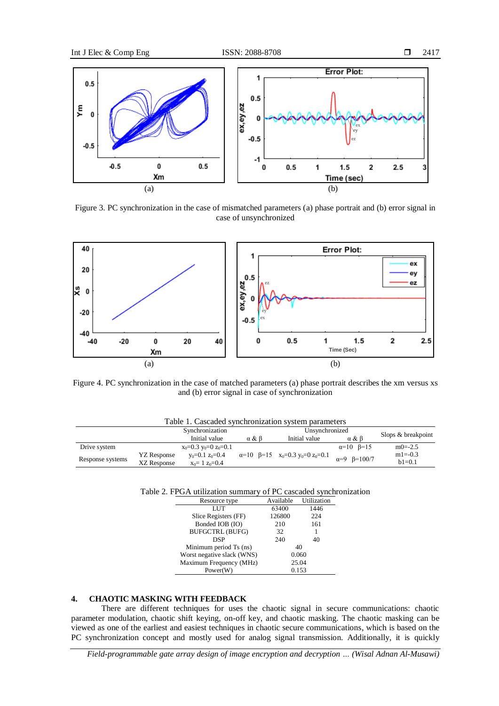

Figure 3. PC synchronization in the case of mismatched parameters (a) phase portrait and (b) error signal in case of unsynchronized



Figure 4. PC synchronization in the case of matched parameters (a) phase portrait describes the xm versus xs and (b) error signal in case of synchronization

| Table 1. Cascaded synchronization system parameters |                                                 |     |               |                                                    |                              |
|-----------------------------------------------------|-------------------------------------------------|-----|---------------|----------------------------------------------------|------------------------------|
| Synchronization<br>Unsynchronized                   |                                                 |     |               |                                                    | Slops & breakpoint           |
|                                                     | Initial value                                   | α&β | Initial value | $\alpha$ & $\beta$                                 |                              |
|                                                     | $x_0=0.3$ y <sub>0</sub> =0 z <sub>0</sub> =0.1 |     |               | $\alpha=10$ $\beta=15$                             | $m0 = -2.5$                  |
| YZ Response                                         | $v_0 = 0.1$ $z_0 = 0.4$                         |     |               |                                                    | $m1 = -0.3$                  |
| XZ Response                                         | $x_0 = 1$ $z_0 = 0.4$                           |     |               |                                                    | $h1=0.1$                     |
|                                                     |                                                 |     |               | $\alpha=10$ $\beta=15$ $x_0=0.3$ $y_0=0$ $z_0=0.1$ | $\alpha = 9$ $\beta = 100/7$ |

Table 2. FPGA utilization summary of PC cascaded synchronization

| Available | Utilization |
|-----------|-------------|
| 63400     | 1446        |
| 126800    | 224         |
| 210       | 161         |
| 32        |             |
| 240       | 40          |
|           | 40          |
| 0.060     |             |
| 25.04     |             |
|           | 0.153       |
|           |             |

#### **4. CHAOTIC MASKING WITH FEEDBACK**

There are different techniques for uses the chaotic signal in secure communications: chaotic parameter modulation, chaotic shift keying, on-off key, and chaotic masking. The chaotic masking can be viewed as one of the earliest and easiest techniques in chaotic secure communications, which is based on the PC synchronization concept and mostly used for analog signal transmission. Additionally, it is quickly

*Field-programmable gate array design of image encryption and decryption … (Wisal Adnan Al-Musawi)*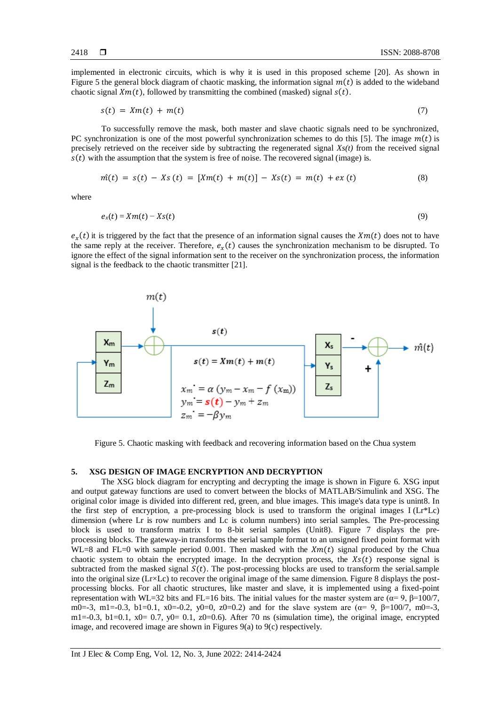implemented in electronic circuits, which is why it is used in this proposed scheme [20]. As shown in Figure 5 the general block diagram of chaotic masking, the information signal  $m(t)$  is added to the wideband chaotic signal  $Xm(t)$ , followed by transmitting the combined (masked) signal  $s(t)$ .

$$
s(t) = Xm(t) + m(t) \tag{7}
$$

To successfully remove the mask, both master and slave chaotic signals need to be synchronized, PC synchronization is one of the most powerful synchronization schemes to do this [5]. The image  $m(t)$  is precisely retrieved on the receiver side by subtracting the regenerated signal *Xs(t)* from the received signal  $s(t)$  with the assumption that the system is free of noise. The recovered signal (image) is.

$$
\hat{m}(t) = s(t) - Xs(t) = [Xm(t) + m(t)] - Xs(t) = m(t) + ex(t)
$$
\n(8)

where

$$
e_x(t) = Xm(t) - Xs(t) \tag{9}
$$

 $e_x(t)$  it is triggered by the fact that the presence of an information signal causes the  $Xm(t)$  does not to have the same reply at the receiver. Therefore,  $e_x(t)$  causes the synchronization mechanism to be disrupted. To ignore the effect of the signal information sent to the receiver on the synchronization process, the information signal is the feedback to the chaotic transmitter [21].



Figure 5. Chaotic masking with feedback and recovering information based on the Chua system

#### **5. XSG DESIGN OF IMAGE ENCRYPTION AND DECRYPTION**

The XSG block diagram for encrypting and decrypting the image is shown in Figure 6. XSG input and output gateway functions are used to convert between the blocks of MATLAB/Simulink and XSG. The original color image is divided into different red, green, and blue images. This image's data type is unint8. In the first step of encryption, a pre-processing block is used to transform the original images  $I(Lr*Lc)$ dimension (where Lr is row numbers and Lc is column numbers) into serial samples. The Pre-processing block is used to transform matrix I to 8-bit serial samples (Unit8). Figure 7 displays the preprocessing blocks. The gateway-in transforms the serial sample format to an unsigned fixed point format with WL=8 and FL=0 with sample period 0.001. Then masked with the  $Xm(t)$  signal produced by the Chua chaotic system to obtain the encrypted image. In the decryption process, the  $Xs(t)$  response signal is subtracted from the masked signal  $S(t)$ . The post-processing blocks are used to transform the serial.sample into the original size (Lr×Lc) to recover the original image of the same dimension. Figure 8 displays the postprocessing blocks. For all chaotic structures, like master and slave, it is implemented using a fixed-point representation with WL=32 bits and FL=16 bits. The initial values for the master system are (α= 9, β=100/7, m0=-3, m1=-0.3, b1=0.1, x0=-0.2, y0=0, z0=0.2) and for the slave system are  $(\alpha = 9, \beta = 100/7, \text{m0} = -3,$ m1=-0.3, b1=0.1, x0= 0.7, y0= 0.1, z0=0.6). After 70 ns (simulation time), the original image, encrypted image, and recovered image are shown in Figures 9(a) to 9(c) respectively.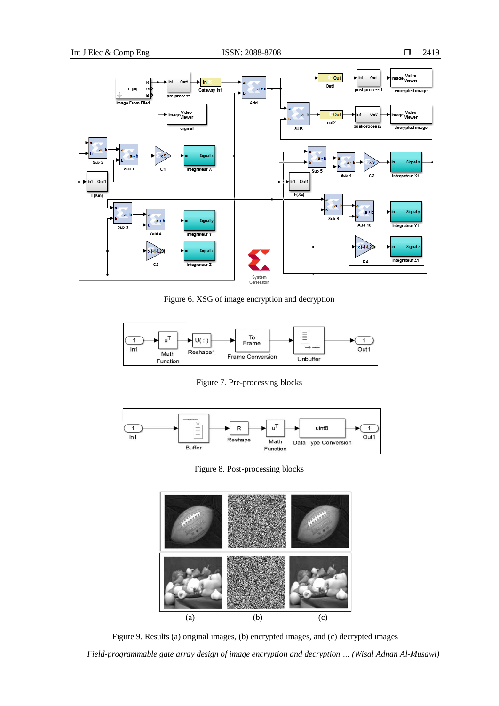

Figure 6. XSG of image encryption and decryption



Figure 7. Pre-processing blocks



Figure 8. Post-processing blocks



Figure 9. Results (a) original images, (b) encrypted images, and (c) decrypted images

*Field-programmable gate array design of image encryption and decryption … (Wisal Adnan Al-Musawi)*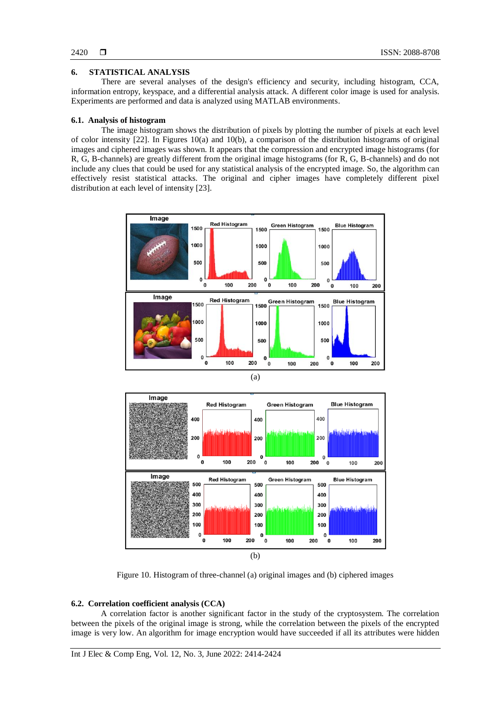### **6. STATISTICAL ANALYSIS**

There are several analyses of the design's efficiency and security, including histogram, CCA, information entropy, keyspace, and a differential analysis attack. A different color image is used for analysis. Experiments are performed and data is analyzed using MATLAB environments.

#### **6.1. Analysis of histogram**

The image histogram shows the distribution of pixels by plotting the number of pixels at each level of color intensity [22]. In Figures 10(a) and 10(b), a comparison of the distribution histograms of original images and ciphered images was shown. It appears that the compression and encrypted image histograms (for R, G, B-channels) are greatly different from the original image histograms (for R, G, B-channels) and do not include any clues that could be used for any statistical analysis of the encrypted image. So, the algorithm can effectively resist statistical attacks. The original and cipher images have completely different pixel distribution at each level of intensity [23].



Figure 10. Histogram of three-channel (a) original images and (b) ciphered images

#### **6.2. Correlation coefficient analysis (CCA)**

A correlation factor is another significant factor in the study of the cryptosystem. The correlation between the pixels of the original image is strong, while the correlation between the pixels of the encrypted image is very low. An algorithm for image encryption would have succeeded if all its attributes were hidden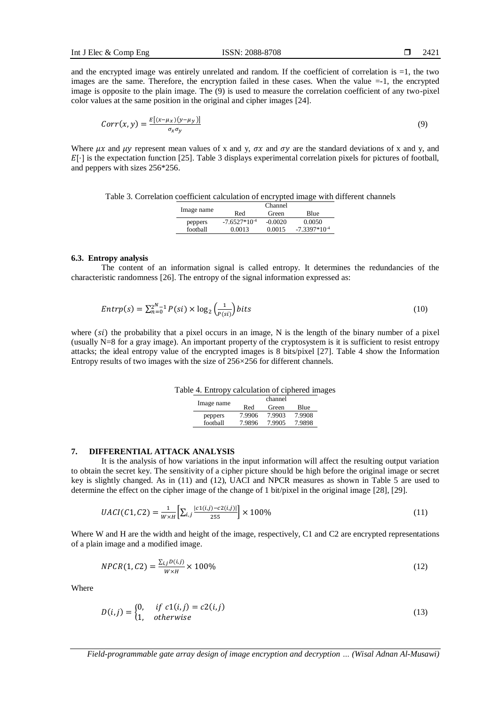and the encrypted image was entirely unrelated and random. If the coefficient of correlation is =1, the two images are the same. Therefore, the encryption failed in these cases. When the value  $=$ -1, the encrypted image is opposite to the plain image. The (9) is used to measure the correlation coefficient of any two-pixel color values at the same position in the original and cipher images [24].

$$
Corr(x, y) = \frac{E[(x - \mu_X)(y - \mu_Y)]}{\sigma_X \sigma_Y} \tag{9}
$$

Where  $\mu x$  and  $\mu y$  represent mean values of x and y,  $\sigma x$  and  $\sigma y$  are the standard deviations of x and y, and  $E[\cdot]$  is the expectation function [25]. Table 3 displays experimental correlation pixels for pictures of football, and peppers with sizes 256\*256.

| Table 3. Correlation coefficient calculation of encrypted image with different channels |  |  |  |  |
|-----------------------------------------------------------------------------------------|--|--|--|--|
|                                                                                         |  |  |  |  |

|            |                   | Channel   |                   |
|------------|-------------------|-----------|-------------------|
| Image name | Red               | Green     | Blue              |
| peppers    | $-7.6527*10^{-4}$ | $-0.0020$ | 0.0050            |
| football   | 0.0013            | 0.0015    | $-7.3397*10^{-4}$ |

#### **6.3. Entropy analysis**

The content of an information signal is called entropy. It determines the redundancies of the characteristic randomness [26]. The entropy of the signal information expressed as:

$$
Entropy(s) = \sum_{n=0}^{2^{N}-1} P(si) \times \log_2\left(\frac{1}{P(si)}\right) bits \tag{10}
$$

where  $(s_i)$  the probability that a pixel occurs in an image, N is the length of the binary number of a pixel (usually N=8 for a gray image). An important property of the cryptosystem is it is sufficient to resist entropy attacks; the ideal entropy value of the encrypted images is 8 bits/pixel [27]. Table 4 show the Information Entropy results of two images with the size of 256×256 for different channels.

|  | Table 4. Entropy calculation of ciphered images |  |  |
|--|-------------------------------------------------|--|--|
|  |                                                 |  |  |

|            |        | channel |        |
|------------|--------|---------|--------|
| Image name | Red    | Green   | Blue   |
| peppers    | 7.9906 | 7.9903  | 7.9908 |
| football   | 7.9896 | 7.9905  | 7.9898 |

#### **7. DIFFERENTIAL ATTACK ANALYSIS**

It is the analysis of how variations in the input information will affect the resulting output variation to obtain the secret key. The sensitivity of a cipher picture should be high before the original image or secret key is slightly changed. As in (11) and (12), UACI and NPCR measures as shown in Table 5 are used to determine the effect on the cipher image of the change of 1 bit/pixel in the original image [28], [29].

$$
UACI(C1, C2) = \frac{1}{W \times H} \Big[ \sum_{i,j} \frac{|c1(i,j) - c2(i,j)|}{255} \Big] \times 100\%
$$
\n(11)

Where W and H are the width and height of the image, respectively, C1 and C2 are encrypted representations of a plain image and a modified image.

$$
NPCR(1, C2) = \frac{\sum_{i,j} D(i,j)}{W \times H} \times 100\%
$$
\n(12)

Where

$$
D(i,j) = \begin{cases} 0, & if \ c1(i,j) = c2(i,j) \\ 1, & otherwise \end{cases}
$$
 (13)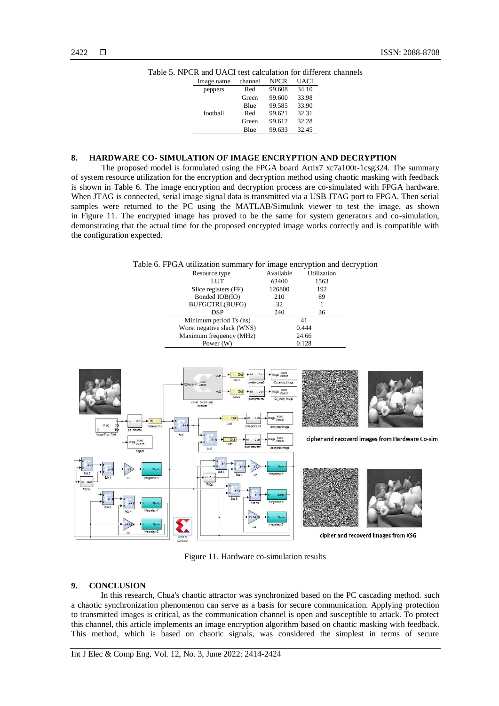| A ang OTICI ton calcalation iol ulife |         |             |       |  |
|---------------------------------------|---------|-------------|-------|--|
| Image name                            | channel | <b>NPCR</b> | UACI  |  |
| peppers                               | Red     | 99.608      | 34.10 |  |
|                                       | Green   | 99.600      | 33.98 |  |
|                                       | Blue    | 99.585      | 33.90 |  |
| football                              | Red     | 99.621      | 32.31 |  |
|                                       | Green   | 99.612      | 32.28 |  |
|                                       | Blue    | 99.633      | 32.45 |  |

Table 5. NPCR and UACI test calculation for different channels

#### **8. HARDWARE CO- SIMULATION OF IMAGE ENCRYPTION AND DECRYPTION**

The proposed model is formulated using the FPGA board Artix7 xc7a100t-1csg324. The summary of system resource utilization for the encryption and decryption method using chaotic masking with feedback is shown in Table 6. The image encryption and decryption process are co-simulated with FPGA hardware. When JTAG is connected, serial image signal data is transmitted via a USB JTAG port to FPGA. Then serial samples were returned to the PC using the MATLAB/Simulink viewer to test the image, as shown in Figure 11. The encrypted image has proved to be the same for system generators and co-simulation, demonstrating that the actual time for the proposed encrypted image works correctly and is compatible with the configuration expected.

Table 6. FPGA utilization summary for image encryption and decryption

|                            | Resource type                    | Available | Utilization |  |
|----------------------------|----------------------------------|-----------|-------------|--|
|                            | LUT                              | 63400     | 1563        |  |
|                            | Slice registers (FF)             | 126800    | 192         |  |
|                            | Bonded IOB(IO)                   | 210       | 89          |  |
|                            | BUFGCTRL(BUFG)                   | 32        |             |  |
|                            | DSP                              | 240       | 36          |  |
|                            | Minimum period Ts (ns)           |           | 41          |  |
| Worst negative slack (WNS) |                                  | 0.444     |             |  |
|                            | Maximum frequency (MHz)<br>24.66 |           |             |  |
|                            | Power (W)                        | 0.128     |             |  |



Figure 11. Hardware co-simulation results

#### **9. CONCLUSION**

In this research, Chua's chaotic attractor was synchronized based on the PC cascading method. such a chaotic synchronization phenomenon can serve as a basis for secure communication. Applying protection to transmitted images is critical, as the communication channel is open and susceptible to attack. To protect this channel, this article implements an image encryption algorithm based on chaotic masking with feedback. This method, which is based on chaotic signals, was considered the simplest in terms of secure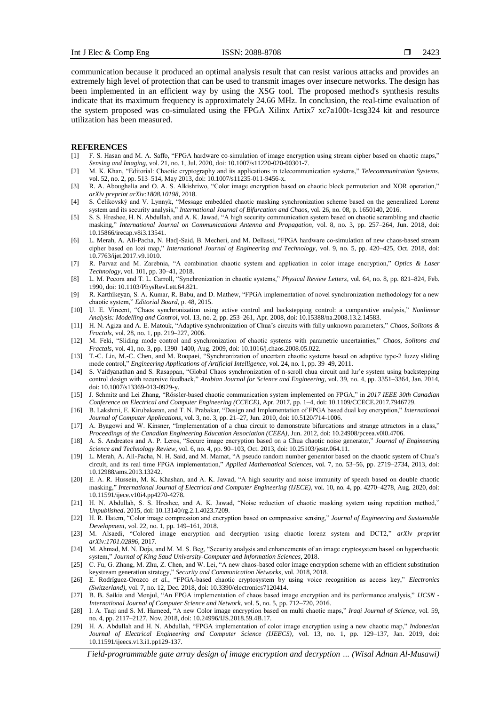communication because it produced an optimal analysis result that can resist various attacks and provides an extremely high level of protection that can be used to transmit images over insecure networks. The design has been implemented in an efficient way by using the XSG tool. The proposed method's synthesis results indicate that its maximum frequency is approximately 24.66 MHz. In conclusion, the real-time evaluation of the system proposed was co-simulated using the FPGA Xilinx Artix7 xc7a100t-1csg324 kit and resource utilization has been measured.

#### **REFERENCES**

- [1] F. S. Hasan and M. A. Saffo, "FPGA hardware co-simulation of image encryption using stream cipher based on chaotic maps," *Sensing and Imaging*, vol. 21, no. 1, Jul. 2020, doi: 10.1007/s11220-020-00301-7.
- [2] M. K. Khan, "Editorial: Chaotic cryptography and its applications in telecommunication systems," *Telecommunication Systems*, vol. 52, no. 2, pp. 513–514, May 2013, doi: 10.1007/s11235-011-9456-x.
- [3] R. A. Aboughalia and O. A. S. Alkishriwo, "Color image encryption based on chaotic block permutation and XOR operation," *arXiv preprint arXiv:1808.10198*, 2018.
- [4] S. Čelikovský and V. Lynnyk, "Message embedded chaotic masking synchronization scheme based on the generalized Lorenz system and its security analysis," *International Journal of Bifurcation and Chaos*, vol. 26, no. 08, p. 1650140, 2016.
- [5] S. S. Hreshee, H. N. Abdullah, and A. K. Jawad, "A high security communication system based on chaotic scrambling and chaotic masking," *International Journal on Communications Antenna and Propagation*, vol. 8, no. 3, pp. 257–264, Jun. 2018, doi: 10.15866/irecap.v8i3.13541.
- [6] L. Merah, A. Ali-Pacha, N. Hadj-Said, B. Mecheri, and M. Dellassi, "FPGA hardware co-simulation of new chaos-based stream cipher based on lozi map," *International Journal of Engineering and Technology*, vol. 9, no. 5, pp. 420–425, Oct. 2018, doi: 10.7763/ijet.2017.v9.1010.
- [7] R. Parvaz and M. Zarebnia, "A combination chaotic system and application in color image encryption," *Optics & Laser Technology*, vol. 101, pp. 30–41, 2018.
- [8] L. M. Pecora and T. L. Carroll, "Synchronization in chaotic systems," *Physical Review Letters*, vol. 64, no. 8, pp. 821–824, Feb. 1990, doi: 10.1103/PhysRevLett.64.821.
- [9] R. Karthikeyan, S. A. Kumar, R. Babu, and D. Mathew, "FPGA implementation of novel synchronization methodology for a new chaotic system," *Editorial Board*, p. 48, 2015.
- [10] U. E. Vincent, "Chaos synchronization using active control and backstepping control: a comparative analysis," *Nonlinear Analysis: Modelling and Control*, vol. 13, no. 2, pp. 253–261, Apr. 2008, doi: 10.15388/na.2008.13.2.14583.
- [11] H. N. Agiza and A. E. Matouk, "Adaptive synchronization of Chua's circuits with fully unknown parameters," *Chaos, Solitons & Fractals*, vol. 28, no. 1, pp. 219–227, 2006.
- [12] M. Feki, "Sliding mode control and synchronization of chaotic systems with parametric uncertainties," *Chaos, Solitons and Fractals*, vol. 41, no. 3, pp. 1390–1400, Aug. 2009, doi: 10.1016/j.chaos.2008.05.022.
- [13] T.-C. Lin, M.-C. Chen, and M. Roopaei, "Synchronization of uncertain chaotic systems based on adaptive type-2 fuzzy sliding mode control," *Engineering Applications of Artificial Intelligence*, vol. 24, no. 1, pp. 39–49, 2011.
- [14] S. Vaidyanathan and S. Rasappan, "Global Chaos synchronization of n-scroll chua circuit and lur'e system using backstepping control design with recursive feedback," *Arabian Journal for Science and Engineering*, vol. 39, no. 4, pp. 3351–3364, Jan. 2014, doi: 10.1007/s13369-013-0929-y.
- [15] J. Schmitz and Lei Zhang, "Rössler-based chaotic communication system implemented on FPGA," in *2017 IEEE 30th Canadian Conference on Electrical and Computer Engineering (CCECE)*, Apr. 2017, pp. 1–4, doi: 10.1109/CCECE.2017.7946729.
- [16] B. Lakshmi, E. Kirubakaran, and T. N. Prabakar, "Design and Implementation of FPGA based dual key encryption," *International Journal of Computer Applications*, vol. 3, no. 3, pp. 21–27, Jun. 2010, doi: 10.5120/714-1006.
- [17] A. Byagowi and W. Kinsner, "Implementation of a chua circuit to demonstrate bifurcations and strange attractors in a class," *Proceedings of the Canadian Engineering Education Association (CEEA)*, Jun. 2012, doi: 10.24908/pceea.v0i0.4706.
- [18] A. S. Andreatos and A. P. Leros, "Secure image encryption based on a Chua chaotic noise generator," *Journal of Engineering Science and Technology Review*, vol. 6, no. 4, pp. 90–103, Oct. 2013, doi: 10.25103/jestr.064.11.
- [19] L. Merah, A. Ali-Pacha, N. H. Said, and M. Mamat, "A pseudo random number generator based on the chaotic system of Chua's circuit, and its real time FPGA implementation," *Applied Mathematical Sciences*, vol. 7, no. 53–56, pp. 2719–2734, 2013, doi: 10.12988/ams.2013.13242.
- [20] E. A. R. Hussein, M. K. Khashan, and A. K. Jawad, "A high security and noise immunity of speech based on double chaotic masking," *International Journal of Electrical and Computer Engineering (IJECE)*, vol. 10, no. 4, pp. 4270–4278, Aug. 2020, doi: 10.11591/ijece.v10i4.pp4270-4278.
- [21] H. N. Abdullah, S. S. Hreshee, and A. K. Jawad, "Noise reduction of chaotic masking system using repetition method," *Unpublished*. 2015, doi: 10.13140/rg.2.1.4023.7209.
- [22] H. R. Hatem, "Color image compression and encryption based on compressive sensing," *Journal of Engineering and Sustainable Development*, vol. 22, no. 1, pp. 149–161, 2018.
- [23] M. Alsaedi, "Colored image encryption and decryption using chaotic lorenz system and DCT2," *arXiv preprint arXiv:1701.02896*, 2017.
- [24] M. Ahmad, M. N. Doja, and M. M. S. Beg, "Security analysis and enhancements of an image cryptosystem based on hyperchaotic system," *Journal of King Saud University-Computer and Information Sciences*, 2018.
- [25] C. Fu, G. Zhang, M. Zhu, Z. Chen, and W. Lei, "A new chaos-based color image encryption scheme with an efficient substitution keystream generation strategy," *Security and Communication Networks*, vol. 2018, 2018.
- [26] E. Rodríguez-Orozco *et al.*, "FPGA-based chaotic cryptosystem by using voice recognition as access key," *Electronics (Switzerland)*, vol. 7, no. 12, Dec. 2018, doi: 10.3390/electronics7120414.
- [27] B. B. Saikia and Monjul, "An FPGA implementation of chaos based image encryption and its performance analysis," *IJCSN - International Journal of Computer Science and Network*, vol. 5, no. 5, pp. 712–720, 2016.
- [28] I. A. Taqi and S. M. Hameed, "A new Color image encryption based on multi chaotic maps," *Iraqi Journal of Science*, vol. 59, no. 4, pp. 2117–2127, Nov. 2018, doi: 10.24996/IJS.2018.59.4B.17.
- [29] H. A. Abdullah and H. N. Abdullah, "FPGA implementation of color image encryption using a new chaotic map," *Indonesian Journal of Electrical Engineering and Computer Science (IJEECS)*, vol. 13, no. 1, pp. 129–137, Jan. 2019, doi: 10.11591/ijeecs.v13.i1.pp129-137.